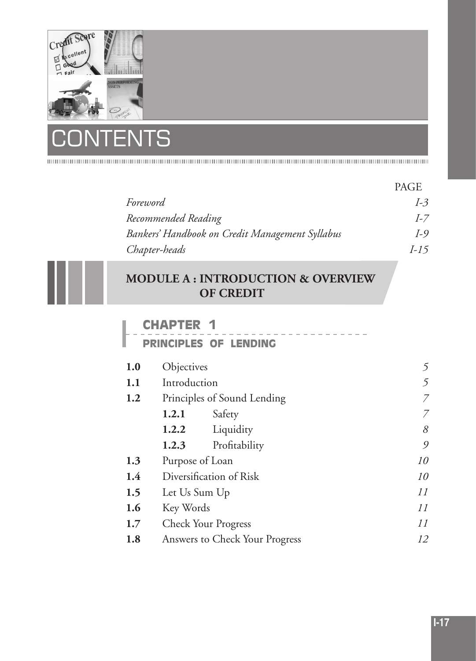

# **NTS**  $\mathsf C$

I

|                                                 | <b>PAGE</b> |
|-------------------------------------------------|-------------|
| Foreword                                        | $I-3$       |
| Recommended Reading                             | $I-7$       |
| Bankers' Handbook on Credit Management Syllabus | $I-9$       |
| Chapter-heads                                   | $I-15$      |

# **MODULE A : INTRODUCTION & OVERVIEW OF CREDIT**

# **CHAPTER 1**

|  |  |  |  |  |  | <b>PRINCIPLES OF LENDING</b> |  |  |  |  |  |  |  |  |  |
|--|--|--|--|--|--|------------------------------|--|--|--|--|--|--|--|--|--|

| 1.0 | Objectives    |                                | 5  |
|-----|---------------|--------------------------------|----|
| 1.1 | Introduction  | 5                              |    |
| 1.2 |               | Principles of Sound Lending    | 7  |
|     | 1.2.1         | Safety                         | 7  |
|     | 1.2.2         | Liquidity                      | 8  |
|     | 1.2.3         | Profitability                  | 9  |
| 1.3 |               | Purpose of Loan                | 10 |
| 1.4 |               | Diversification of Risk        | 10 |
| 1.5 | Let Us Sum Up |                                | 11 |
| 1.6 | Key Words     |                                | 11 |
| 1.7 |               | <b>Check Your Progress</b>     | 11 |
| 1.8 |               | Answers to Check Your Progress | 12 |
|     |               |                                |    |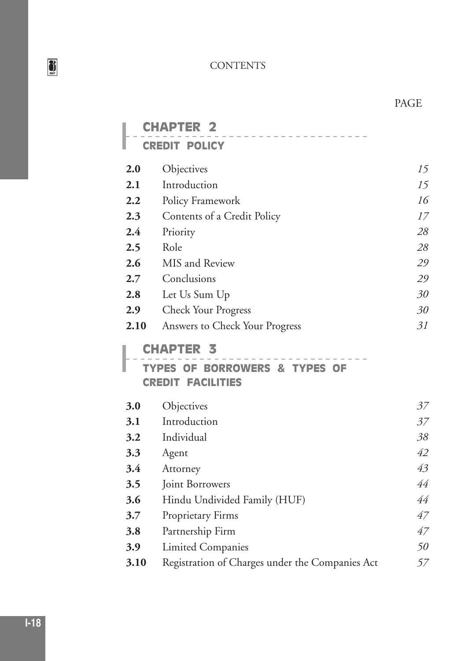|      | <b>APTER</b>                                                            |    |
|------|-------------------------------------------------------------------------|----|
|      | <b>CREDIT POLICY</b>                                                    |    |
| 2.0  | Objectives                                                              | 15 |
| 2.1  | Introduction                                                            | 15 |
| 2.2  | Policy Framework                                                        | 16 |
| 2.3  | Contents of a Credit Policy                                             | 17 |
| 2.4  | Priority                                                                | 28 |
| 2.5  | Role                                                                    | 28 |
| 2.6  | MIS and Review                                                          | 29 |
| 2.7  | Conclusions                                                             | 29 |
| 2.8  | Let Us Sum Up                                                           | 30 |
| 2.9  | <b>Check Your Progress</b>                                              | 30 |
| 2.10 | Answers to Check Your Progress                                          | 31 |
|      | <b>CHAPTER</b><br>3                                                     |    |
|      | <b>BORROWERS &amp; TYPES OF</b><br><b>TYPES OF</b><br>GREDIT FACILITIES |    |
| 3.0  | Objectives                                                              | 37 |
| 3.1  | Introduction                                                            | 37 |
| 3.2  | Individual                                                              | 38 |
| 3.3  | Agent                                                                   | 42 |
| 3.4  | Attorney                                                                | 43 |
| 3.5  | Joint Borrowers                                                         | 44 |
| 3.6  | Hindu Undivided Family (HUF)                                            | 44 |
| 3.7  | Proprietary Firms                                                       | 47 |
| 3.8  | Partnership Firm                                                        | 47 |
| 3.9  | Limited Companies                                                       | 50 |
| 3.10 | Registration of Charges under the Companies Act                         | 57 |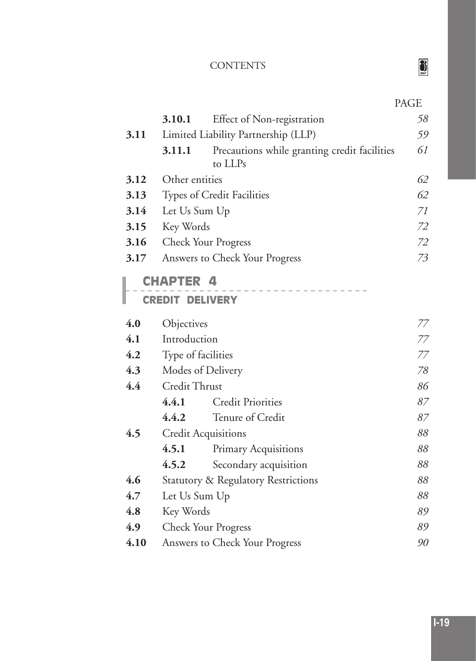| --<br>v.<br>- -<br>- -<br>- - |
|-------------------------------|
|-------------------------------|

|      | 3.10.1                                     | <b>Effect of Non-registration</b>                       | 58 |
|------|--------------------------------------------|---------------------------------------------------------|----|
| 3.11 |                                            | Limited Liability Partnership (LLP)                     | 59 |
|      | 3.11.1                                     | Precautions while granting credit facilities<br>to LLPs | 61 |
| 3.12 | Other entities                             |                                                         | 62 |
| 3.13 |                                            | Types of Credit Facilities                              | 62 |
| 3.14 | Let Us Sum Up                              |                                                         | 71 |
| 3.15 | Key Words                                  |                                                         | 72 |
| 3.16 |                                            | <b>Check Your Progress</b>                              | 72 |
| 3.17 |                                            | Answers to Check Your Progress                          | 73 |
|      | <b>CHAPTER 4</b><br><b>CREDIT DELIVERY</b> |                                                         |    |
| 4.0  | Objectives                                 |                                                         | 77 |
| 4.1  | Introduction                               |                                                         | 77 |
| 4.2  | Type of facilities                         |                                                         | 77 |
| 4.3  |                                            | Modes of Delivery                                       | 78 |
| 4.4  | Credit Thrust                              |                                                         | 86 |
|      | 4.4.1                                      | <b>Credit Priorities</b>                                | 87 |
|      | 4.4.2                                      | Tenure of Credit                                        | 87 |
| 4.5  |                                            | <b>Credit Acquisitions</b>                              | 88 |
|      | 4.5.1                                      | Primary Acquisitions                                    | 88 |
|      | 4.5.2                                      | Secondary acquisition                                   | 88 |
| 4.6  |                                            | Statutory & Regulatory Restrictions                     | 88 |
| 4.7  | Let Us Sum Up                              |                                                         | 88 |
| 4.8  | Key Words                                  |                                                         | 89 |
| 4.9  |                                            | <b>Check Your Progress</b>                              | 89 |
| 4.10 |                                            | Answers to Check Your Progress                          | 90 |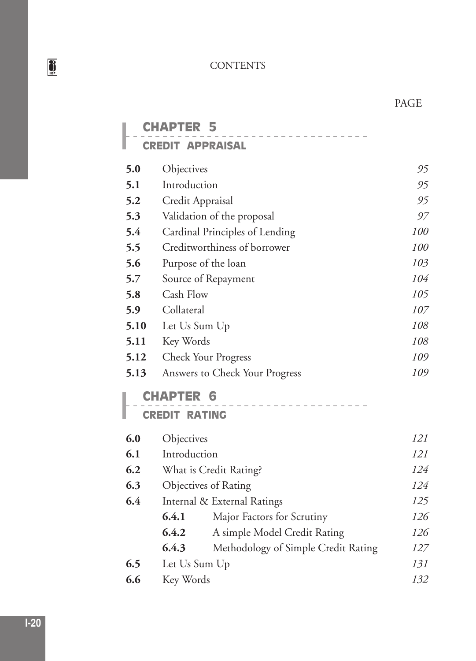|      | <b>CHAPTER 5</b>                             |     |
|------|----------------------------------------------|-----|
|      | <b>CREDIT APPRAISAL</b>                      |     |
| 5.0  | Objectives                                   | 95  |
| 5.1  | Introduction                                 | 95  |
| 5.2  | Credit Appraisal                             | 95  |
| 5.3  | Validation of the proposal                   | 97  |
| 5.4  | Cardinal Principles of Lending               | 100 |
| 5.5  | Creditworthiness of borrower                 | 100 |
| 5.6  | Purpose of the loan                          | 103 |
| 5.7  | Source of Repayment                          | 104 |
| 5.8  | Cash Flow                                    | 105 |
| 5.9  | Collateral                                   | 107 |
| 5.10 | Let Us Sum Up                                | 108 |
| 5.11 | Key Words                                    | 108 |
| 5.12 | <b>Check Your Progress</b>                   | 109 |
| 5.13 | Answers to Check Your Progress               | 109 |
|      | <b>CHAPTER 6</b>                             |     |
|      | <b>CREDIT RATING</b>                         |     |
| 6.0  | Objectives                                   | 121 |
| 6.1  | Introduction                                 | 121 |
| 6.2  | What is Credit Rating?                       | 124 |
| 6.3  | Objectives of Rating                         | 124 |
| 6.4  | Internal & External Ratings                  | 125 |
|      | 6.4.1<br>Major Factors for Scrutiny          | 126 |
|      | 6.4.2<br>A simple Model Credit Rating        | 126 |
|      | 6.4.3<br>Methodology of Simple Credit Rating | 127 |
| 6.5  | Let Us Sum Up                                | 131 |
| 6.6  | Key Words                                    | 132 |

ш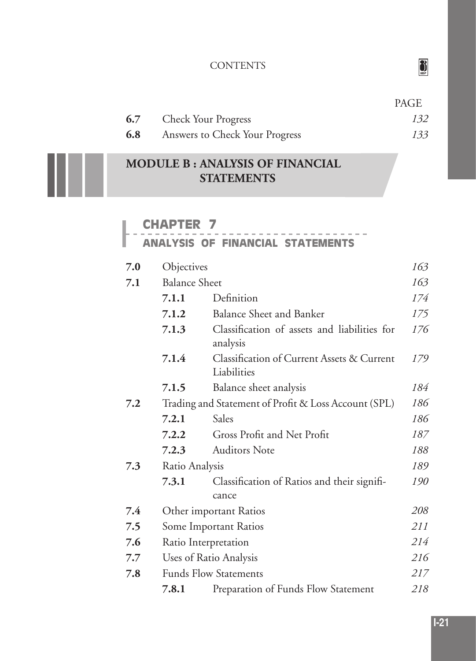|     |                                | PAGE |
|-----|--------------------------------|------|
|     | <b>6.7</b> Check Your Progress | 132  |
| 6.8 | Answers to Check Your Progress | 133  |

# **MODULE B : ANALYSIS OF FINANCIAL STATEMENTS**

#### **CHAPTER 7**

l

#### **ANALYSIS OF FINANCIAL STATEMENTS**

| 7.0 | Objectives                                           |                                                           | 163 |  |  |  |  |
|-----|------------------------------------------------------|-----------------------------------------------------------|-----|--|--|--|--|
| 7.1 | <b>Balance Sheet</b>                                 |                                                           | 163 |  |  |  |  |
|     | 7.1.1                                                | Definition                                                | 174 |  |  |  |  |
|     | 7.1.2                                                | <b>Balance Sheet and Banker</b>                           | 175 |  |  |  |  |
|     | 7.1.3                                                | Classification of assets and liabilities for<br>analysis  | 176 |  |  |  |  |
|     | 7.1.4                                                | Classification of Current Assets & Current<br>Liabilities | 179 |  |  |  |  |
|     | 7.1.5                                                | Balance sheet analysis                                    | 184 |  |  |  |  |
| 7.2 | Trading and Statement of Profit & Loss Account (SPL) |                                                           |     |  |  |  |  |
|     | 7.2.1                                                | Sales                                                     | 186 |  |  |  |  |
|     | 7.2.2                                                | Gross Profit and Net Profit                               | 187 |  |  |  |  |
|     | 7.2.3                                                | <b>Auditors Note</b>                                      | 188 |  |  |  |  |
| 7.3 | Ratio Analysis                                       |                                                           |     |  |  |  |  |
|     | 7.3.1                                                | Classification of Ratios and their signifi-<br>cance      | 190 |  |  |  |  |
| 7.4 |                                                      | Other important Ratios                                    | 208 |  |  |  |  |
| 7.5 |                                                      | Some Important Ratios                                     | 211 |  |  |  |  |
| 7.6 |                                                      | Ratio Interpretation                                      | 214 |  |  |  |  |
| 7.7 |                                                      | Uses of Ratio Analysis                                    | 216 |  |  |  |  |
| 7.8 |                                                      | <b>Funds Flow Statements</b>                              | 217 |  |  |  |  |
|     | 7.8.1                                                | Preparation of Funds Flow Statement                       | 218 |  |  |  |  |

 $\frac{3}{2}$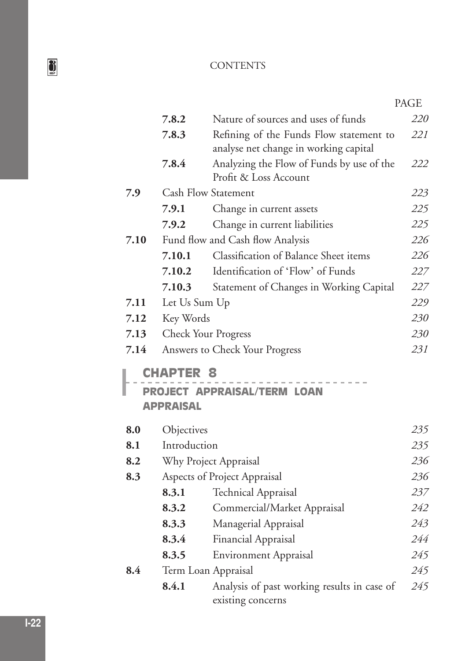|      |                                      |                                                                                  | PAGE |
|------|--------------------------------------|----------------------------------------------------------------------------------|------|
|      | 7.8.2                                | Nature of sources and uses of funds                                              | 220  |
|      | 7.8.3                                | Refining of the Funds Flow statement to<br>analyse net change in working capital | 221  |
|      | 7.8.4                                | Analyzing the Flow of Funds by use of the<br>Profit & Loss Account               | 222  |
| 7.9  |                                      | <b>Cash Flow Statement</b>                                                       | 223  |
|      | 7.9.1                                | Change in current assets                                                         | 225  |
|      | 7.9.2                                | Change in current liabilities                                                    | 225  |
| 7.10 |                                      | Fund flow and Cash flow Analysis                                                 | 226  |
|      | 7.10.1                               | <b>Classification of Balance Sheet items</b>                                     | 226  |
|      | 7.10.2                               | Identification of 'Flow' of Funds                                                | 227  |
|      | 7.10.3                               | Statement of Changes in Working Capital                                          | 227  |
| 7.11 | Let Us Sum Up                        |                                                                                  | 229  |
| 7.12 | Key Words                            |                                                                                  | 230  |
| 7.13 |                                      | <b>Check Your Progress</b>                                                       | 230  |
| 7.14 |                                      | Answers to Check Your Progress                                                   | 231  |
|      | <b>CHAPTER 8</b><br><b>APPRAISAL</b> | <b>PROJECT APPRAISAL/TERM LOAN</b>                                               |      |
| 8.0  | Objectives                           |                                                                                  | 235  |
| 8.1  | Introduction                         |                                                                                  | 235  |
| 8.2  |                                      | Why Project Appraisal                                                            | 236  |
| 8.3  |                                      | Aspects of Project Appraisal                                                     | 236  |
|      | 8.3.1                                | <b>Technical Appraisal</b>                                                       | 237  |
|      | 8.3.2                                | Commercial/Market Appraisal                                                      | 242  |
|      | 8.3.3                                | Managerial Appraisal                                                             | 243  |
|      | 8.3.4                                | Financial Appraisal                                                              | 244  |
|      | 8.3.5                                | <b>Environment Appraisal</b>                                                     | 245  |
| 8.4  |                                      | Term Loan Appraisal                                                              | 245  |
|      | 8.4.1                                | Analysis of past working results in case of<br>existing concerns                 | 245  |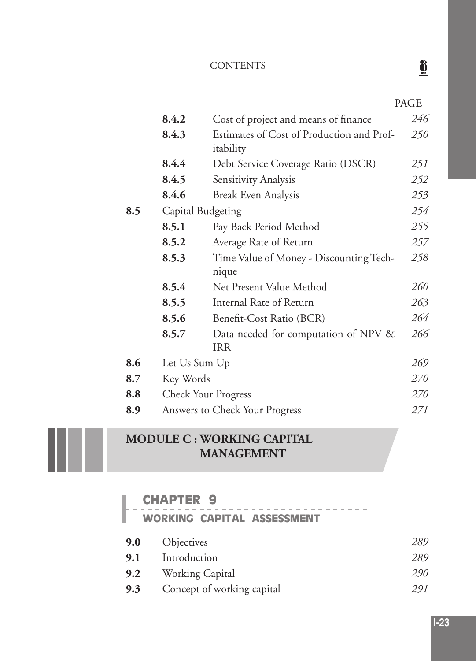| IR.<br>с |  |
|----------|--|

|         |                   |                                                        | PAGE |
|---------|-------------------|--------------------------------------------------------|------|
|         | 8.4.2             | Cost of project and means of finance                   | 246  |
|         | 8.4.3             | Estimates of Cost of Production and Prof-<br>itability | 250  |
|         | 8.4.4             | Debt Service Coverage Ratio (DSCR)                     | 251  |
|         | 8.4.5             | Sensitivity Analysis                                   | 252  |
|         | 8.4.6             | <b>Break Even Analysis</b>                             | 253  |
| 8.5     | Capital Budgeting |                                                        | 254  |
|         | 8.5.1             | Pay Back Period Method                                 | 255  |
|         | 8.5.2             | Average Rate of Return                                 | 257  |
|         | 8.5.3             | Time Value of Money - Discounting Tech-<br>nique       | 258  |
|         | 8.5.4             | Net Present Value Method                               | 260  |
|         | 8.5.5             | Internal Rate of Return                                | 263  |
|         | 8.5.6             | Benefit-Cost Ratio (BCR)                               | 264  |
|         | 8.5.7             | Data needed for computation of NPV &<br><b>IRR</b>     | 266  |
| 8.6     | Let Us Sum Up     |                                                        | 269  |
| $8.7\,$ | Key Words         |                                                        | 270  |
| 8.8     |                   | <b>Check Your Progress</b>                             | 270  |
| 8.9     |                   | Answers to Check Your Progress                         | 271  |

# **MODULE C : WORKING CAPITAL MANAGEMENT**

I

# **CHAPTER 9 WORKING CAPITAL ASSESSMENT 9.0** Objectives *289* **9.1** Introduction *289* **9.2** Working Capital *290* **9.3** Concept of working capital *291*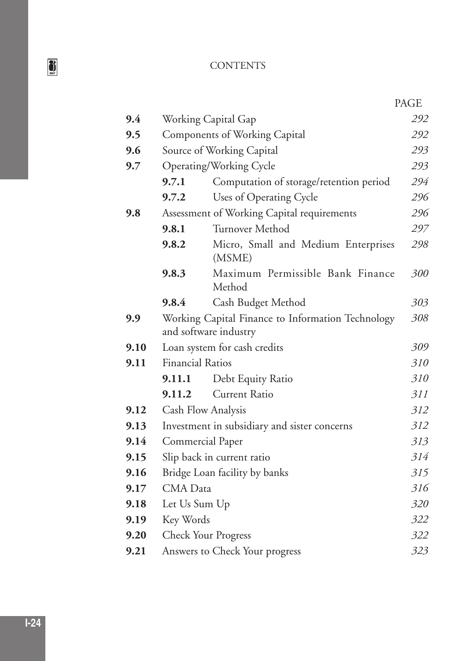|      |                                      |                                                                            | PAGE |
|------|--------------------------------------|----------------------------------------------------------------------------|------|
| 9.4  |                                      | Working Capital Gap                                                        | 292  |
| 9.5  | <b>Components of Working Capital</b> |                                                                            | 292  |
| 9.6  |                                      | Source of Working Capital                                                  | 293  |
| 9.7  |                                      | Operating/Working Cycle                                                    | 293  |
|      | 9.7.1                                | Computation of storage/retention period                                    | 294  |
|      | 9.7.2                                | Uses of Operating Cycle                                                    | 296  |
| 9.8  |                                      | Assessment of Working Capital requirements                                 | 296  |
|      | 9.8.1                                | Turnover Method                                                            | 297  |
|      | 9.8.2                                | Micro, Small and Medium Enterprises<br>(MSME)                              | 298  |
|      | 9.8.3                                | Maximum Permissible Bank Finance<br>Method                                 | 300  |
|      | 9.8.4                                | Cash Budget Method                                                         | 303  |
| 9.9  |                                      | Working Capital Finance to Information Technology<br>and software industry | 308  |
| 9.10 |                                      | Loan system for cash credits                                               | 309  |
| 9.11 | <b>Financial Ratios</b>              |                                                                            | 310  |
|      | 9.11.1                               | Debt Equity Ratio                                                          | 310  |
|      | 9.11.2                               | <b>Current Ratio</b>                                                       | 311  |
| 9.12 |                                      | Cash Flow Analysis                                                         | 312  |
| 9.13 |                                      | Investment in subsidiary and sister concerns                               | 312  |
| 9.14 |                                      | Commercial Paper                                                           | 313  |
| 9.15 |                                      | Slip back in current ratio                                                 | 314  |
| 9.16 |                                      | Bridge Loan facility by banks                                              | 315  |
| 9.17 | CMA Data                             |                                                                            | 316  |
| 9.18 | Let Us Sum Up                        |                                                                            | 320  |
| 9.19 | Key Words                            |                                                                            | 322  |
| 9.20 |                                      | <b>Check Your Progress</b>                                                 | 322  |
| 9.21 |                                      | Answers to Check Your progress                                             | 323  |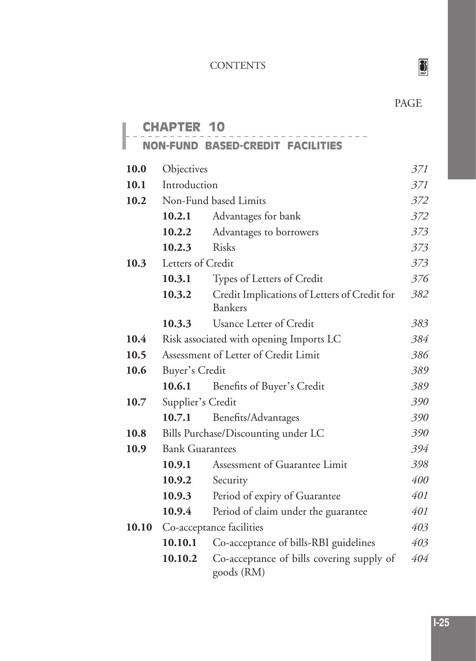**I-25**

# PAGE

|       | <b>HAPTER</b>          | 10                                                             |     |
|-------|------------------------|----------------------------------------------------------------|-----|
|       | <b>NON-FUND</b>        | <b>BASED-CREDIT FACILITIES</b>                                 |     |
| 10.0  | Objectives             |                                                                | 371 |
| 10.1  | Introduction           |                                                                | 371 |
| 10.2  |                        | Non-Fund based Limits                                          | 372 |
|       | 10.2.1                 | Advantages for bank                                            | 372 |
|       | 10.2.2                 | Advantages to borrowers                                        | 373 |
|       | 10.2.3                 | <b>Risks</b>                                                   | 373 |
| 10.3  | Letters of Credit      |                                                                | 373 |
|       | 10.3.1                 | Types of Letters of Credit                                     | 376 |
|       | 10.3.2                 | Credit Implications of Letters of Credit for<br><b>Bankers</b> | 382 |
|       | 10.3.3                 | Usance Letter of Credit                                        | 383 |
| 10.4  |                        | Risk associated with opening Imports LC                        | 384 |
| 10.5  |                        | Assessment of Letter of Credit Limit                           | 386 |
| 10.6  | Buyer's Credit         |                                                                | 389 |
|       | 10.6.1                 | Benefits of Buyer's Credit                                     | 389 |
| 10.7  | Supplier's Credit      |                                                                | 390 |
|       | 10.7.1                 | Benefits/Advantages                                            | 390 |
| 10.8  |                        | Bills Purchase/Discounting under LC                            | 390 |
| 10.9  | <b>Bank Guarantees</b> |                                                                | 394 |
|       | 10.9.1                 | Assessment of Guarantee Limit                                  | 398 |
|       | 10.9.2                 | Security                                                       | 400 |
|       | 10.9.3                 | Period of expiry of Guarantee                                  | 401 |
|       | 10.9.4                 | Period of claim under the guarantee                            | 401 |
| 10.10 |                        | Co-acceptance facilities                                       | 403 |
|       | 10.10.1                | Co-acceptance of bills-RBI guidelines                          | 403 |
|       | 10.10.2                | Co-acceptance of bills covering supply of<br>goods (RM)        | 404 |

 $\sum_{\text{max}}$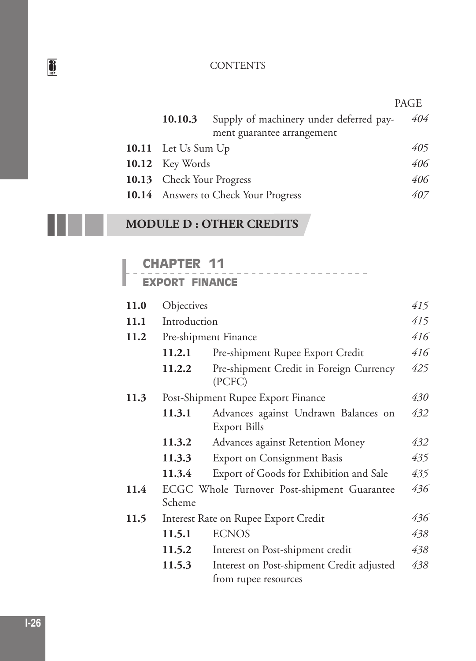|                                  |                                                 | PAGE |
|----------------------------------|-------------------------------------------------|------|
|                                  | 10.10.3 Supply of machinery under deferred pay- | 404  |
|                                  | ment guarantee arrangement                      |      |
| 10.11 Let Us Sum Up              |                                                 | 405  |
| 10.12 Key Words                  |                                                 | 406  |
| <b>10.13</b> Check Your Progress |                                                 | 406  |
|                                  | <b>10.14</b> Answers to Check Your Progress     | 407  |

 $\begin{array}{cccccccccccccc} \cdots & \cdots & \cdots & \cdots & \cdots & \cdots & \cdots \end{array}$ 

# **MODULE D : OTHER CREDITS**

## **CHAPTER 11**

| 11.0 | Objectives   |                                                                   | 415 |
|------|--------------|-------------------------------------------------------------------|-----|
| 11.1 | Introduction |                                                                   | 415 |
| 11.2 |              | Pre-shipment Finance                                              | 416 |
|      | 11.2.1       | Pre-shipment Rupee Export Credit                                  | 416 |
|      | 11.2.2       | Pre-shipment Credit in Foreign Currency<br>(PCFC)                 | 425 |
| 11.3 |              | Post-Shipment Rupee Export Finance                                | 430 |
|      | 11.3.1       | Advances against Undrawn Balances on<br><b>Export Bills</b>       | 432 |
|      | 11.3.2       | Advances against Retention Money                                  | 432 |
|      | 11.3.3       | <b>Export on Consignment Basis</b>                                | 435 |
|      | 11.3.4       | Export of Goods for Exhibition and Sale                           | 435 |
| 11.4 | Scheme       | ECGC Whole Turnover Post-shipment Guarantee                       | 436 |
| 11.5 |              | Interest Rate on Rupee Export Credit                              | 436 |
|      | 11.5.1       | <b>ECNOS</b>                                                      | 438 |
|      | 11.5.2       | Interest on Post-shipment credit                                  | 438 |
|      | 11.5.3       | Interest on Post-shipment Credit adjusted<br>from rupee resources | 438 |

 $\sum_{\text{max}}$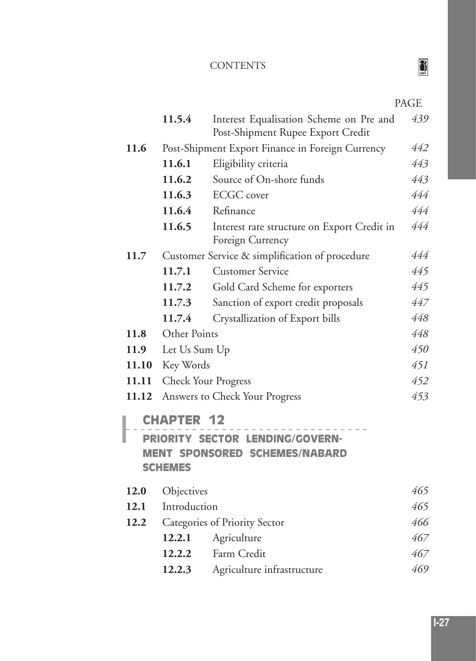| ٠ |
|---|

|       | 11.5.4            | Interest Equalisation Scheme on Pre and                         | 439 |
|-------|-------------------|-----------------------------------------------------------------|-----|
|       |                   | Post-Shipment Rupee Export Credit                               |     |
| 11.6  |                   | Post-Shipment Export Finance in Foreign Currency                | 442 |
|       | 11.6.1            | Eligibility criteria                                            | 443 |
|       | 11.6.2            | Source of On-shore funds                                        | 443 |
|       | 11.6.3            | <b>ECGC</b> cover                                               | 444 |
|       | 11.6.4            | Refinance                                                       | 444 |
|       | 11.6.5            | Interest rate structure on Export Credit in<br>Foreign Currency | 444 |
| 11.7  |                   | Customer Service & simplification of procedure                  | 444 |
|       | 11.7.1            | <b>Customer Service</b>                                         | 445 |
|       | 11.7.2            | Gold Card Scheme for exporters                                  | 445 |
|       | 11.7.3            | Sanction of export credit proposals                             | 447 |
|       | 11.7.4            | Crystallization of Export bills                                 | 448 |
| 11.8  | Other Points      |                                                                 | 448 |
| 11.9  | Let Us Sum Up     |                                                                 | 450 |
| 11.10 | Key Words         |                                                                 | 451 |
| 11.11 |                   | <b>Check Your Progress</b>                                      | 452 |
| 11.12 |                   | Answers to Check Your Progress                                  | 453 |
|       | <b>CHAPTER 12</b> |                                                                 |     |
|       |                   | PRIORITY SECTOR LENDING/GOVERN-                                 |     |
|       | <b>SCHEMES</b>    | <b>MENT SPONSORED SCHEMES/NABARD</b>                            |     |
| 12.0  | Objectives        |                                                                 | 465 |
| 12.1  | Introduction      |                                                                 | 465 |
| 12.2  |                   | Categories of Priority Sector                                   | 466 |
|       | 12.2.1            | Agriculture                                                     | 467 |
|       | 12.2.2            | Farm Credit                                                     | 467 |
|       | 12.2.3            | Agriculture infrastructure                                      | 469 |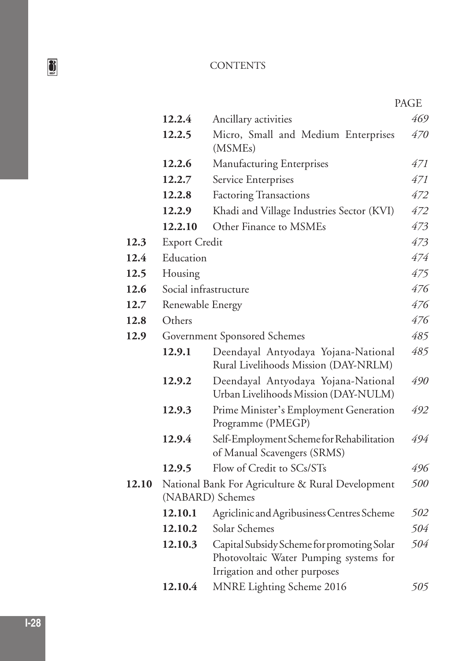|       |                                                                       |                                                                                                                       | PAGE |
|-------|-----------------------------------------------------------------------|-----------------------------------------------------------------------------------------------------------------------|------|
|       | 12.2.4                                                                | Ancillary activities                                                                                                  | 469  |
|       | 12.2.5                                                                | Micro, Small and Medium Enterprises<br>(MSME <sub>s</sub> )                                                           | 470  |
|       | 12.2.6                                                                | <b>Manufacturing Enterprises</b>                                                                                      | 471  |
|       | 12.2.7                                                                | Service Enterprises                                                                                                   | 471  |
|       | 12.2.8                                                                | <b>Factoring Transactions</b>                                                                                         | 472  |
|       | 12.2.9                                                                | Khadi and Village Industries Sector (KVI)                                                                             | 472  |
|       | 12.2.10                                                               | Other Finance to MSMEs                                                                                                | 473  |
| 12.3  | <b>Export Credit</b>                                                  |                                                                                                                       | 473  |
| 12.4  | Education                                                             |                                                                                                                       | 474  |
| 12.5  | Housing                                                               |                                                                                                                       | 475  |
| 12.6  | Social infrastructure                                                 |                                                                                                                       | 476  |
| 12.7  | Renewable Energy                                                      |                                                                                                                       | 476  |
| 12.8  | Others                                                                |                                                                                                                       | 476  |
| 12.9  | Government Sponsored Schemes                                          |                                                                                                                       | 485  |
|       | 12.9.1                                                                | Deendayal Antyodaya Yojana-National<br>Rural Livelihoods Mission (DAY-NRLM)                                           | 485  |
|       | 12.9.2                                                                | Deendayal Antyodaya Yojana-National<br>Urban Livelihoods Mission (DAY-NULM)                                           | 490  |
|       | 12.9.3                                                                | Prime Minister's Employment Generation<br>Programme (PMEGP)                                                           | 492  |
|       | 12.9.4                                                                | Self-Employment Scheme for Rehabilitation<br>of Manual Scavengers (SRMS)                                              | 494  |
|       | 12.9.5                                                                | Flow of Credit to SCs/STs                                                                                             | 496  |
| 12.10 | National Bank For Agriculture & Rural Development<br>(NABARD) Schemes |                                                                                                                       | 500  |
|       |                                                                       | 12.10.1 Agriclinic and Agribusiness Centres Scheme                                                                    | 502  |
|       | 12.10.2                                                               | Solar Schemes                                                                                                         | 504  |
|       | 12.10.3                                                               | Capital Subsidy Scheme for promoting Solar<br>Photovoltaic Water Pumping systems for<br>Irrigation and other purposes | 504  |
|       | 12.10.4                                                               | MNRE Lighting Scheme 2016                                                                                             | 505  |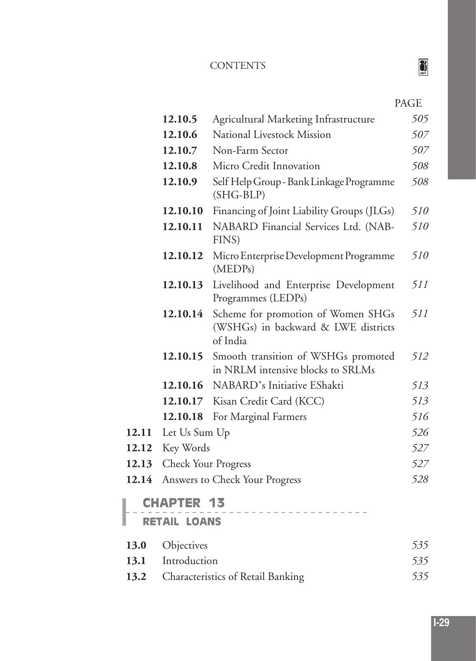|       |                                          |                                                                                       | PAGE |
|-------|------------------------------------------|---------------------------------------------------------------------------------------|------|
|       | 12.10.5                                  | Agricultural Marketing Infrastructure                                                 | 505  |
|       | 12.10.6                                  | National Livestock Mission                                                            | 507  |
|       | 12.10.7                                  | Non-Farm Sector                                                                       | 507  |
|       | 12.10.8                                  | Micro Credit Innovation                                                               | 508  |
|       | 12.10.9                                  | Self Help Group - Bank Linkage Programme<br>$(SHG-BLP)$                               | 508  |
|       | 12.10.10                                 | Financing of Joint Liability Groups (JLGs)                                            | 510  |
|       | 12.10.11                                 | NABARD Financial Services Ltd. (NAB-<br>FINS)                                         | 510  |
|       | 12.10.12                                 | Micro Enterprise Development Programme<br>(MEDPs)                                     | 510  |
|       | 12.10.13                                 | Livelihood and Enterprise Development<br>Programmes (LEDPs)                           | 511  |
|       | 12.10.14                                 | Scheme for promotion of Women SHGs<br>(WSHGs) in backward & LWE districts<br>of India | 511  |
|       | 12.10.15                                 | Smooth transition of WSHGs promoted<br>in NRLM intensive blocks to SRLMs              | 512  |
|       | 12.10.16                                 | NABARD's Initiative EShakti                                                           | 513  |
|       | 12.10.17                                 | Kisan Credit Card (KCC)                                                               | 513  |
|       | 12.10.18                                 | For Marginal Farmers                                                                  | 516  |
| 12.11 | Let Us Sum Up                            |                                                                                       | 526  |
| 12.12 | Key Words                                |                                                                                       | 527  |
| 12.13 | <b>Check Your Progress</b>               |                                                                                       | 527  |
| 12.14 |                                          | Answers to Check Your Progress                                                        | 528  |
|       | <b>CHAPTER 13</b><br><b>RETAIL LOANS</b> |                                                                                       |      |
| 13.0  | Objectives                               |                                                                                       | 535  |
| 13.1  | Introduction                             |                                                                                       | 535  |
| 13.2  |                                          | Characteristics of Retail Banking                                                     | 535  |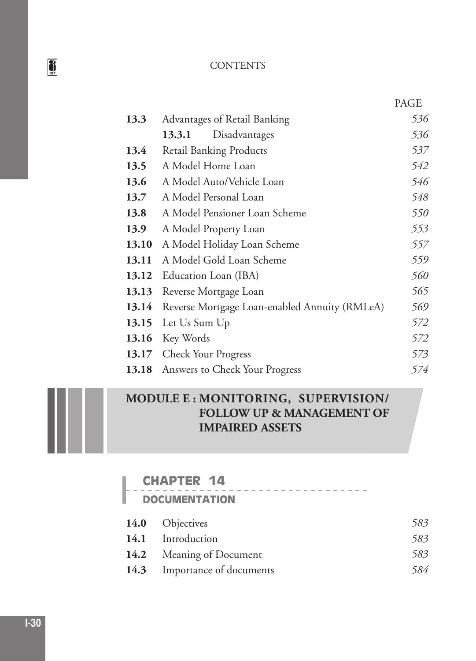|       |                                               | PAGE |
|-------|-----------------------------------------------|------|
| 13.3  | Advantages of Retail Banking                  | 536  |
|       | Disadvantages<br>13.3.1                       | 536  |
| 13.4  | <b>Retail Banking Products</b>                | 537  |
| 13.5  | A Model Home Loan                             | 542  |
| 13.6  | A Model Auto/Vehicle Loan                     | 546  |
| 13.7  | A Model Personal Loan                         | 548  |
| 13.8  | A Model Pensioner Loan Scheme                 | 550  |
| 13.9  | A Model Property Loan                         | 553  |
| 13.10 | A Model Holiday Loan Scheme                   | 557  |
| 13.11 | A Model Gold Loan Scheme                      | 559  |
| 13.12 | Education Loan (IBA)                          | 560  |
| 13.13 | Reverse Mortgage Loan                         | 565  |
| 13.14 | Reverse Mortgage Loan-enabled Annuity (RMLeA) | 569  |
| 13.15 | Let Us Sum Up                                 | 572  |
| 13.16 | Key Words                                     | 572  |
| 13.17 | <b>Check Your Progress</b>                    | 573  |
| 13.18 | Answers to Check Your Progress                | 574  |

# **MODULE E : MONITORING, SUPERVISION/ FOLLOW UP & MANAGEMENT OF IMPAIRED ASSETS**

# **CHAPTER 14**

## **DOCUMENTATION**

| 14.0 Objectives              | 583 |
|------------------------------|-----|
| 14.1 Introduction            | 583 |
| 14.2 Meaning of Document     | 583 |
| 14.3 Importance of documents | 584 |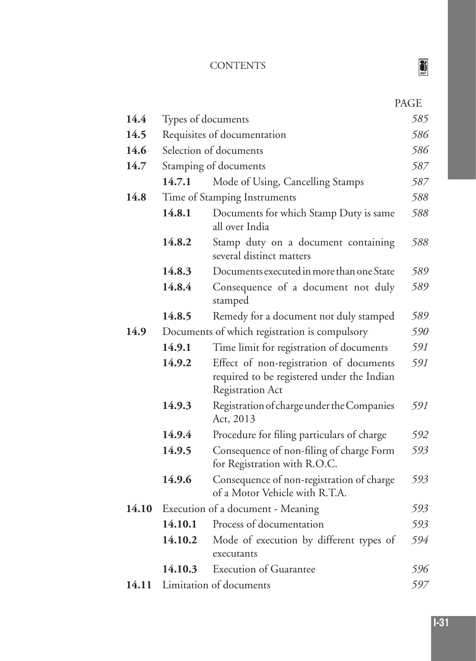|       |                       |                                                                                                                  | PAGE |
|-------|-----------------------|------------------------------------------------------------------------------------------------------------------|------|
| 14.4  | Types of documents    |                                                                                                                  | 585  |
| 14.5  |                       | Requisites of documentation                                                                                      | 586  |
| 14.6  |                       | Selection of documents                                                                                           | 586  |
| 14.7  | Stamping of documents |                                                                                                                  | 587  |
|       | 14.7.1                | Mode of Using, Cancelling Stamps                                                                                 | 587  |
| 14.8  |                       | Time of Stamping Instruments                                                                                     | 588  |
|       | 14.8.1                | Documents for which Stamp Duty is same<br>all over India                                                         | 588  |
|       | 14.8.2                | Stamp duty on a document containing<br>several distinct matters                                                  | 588  |
|       | 14.8.3                | Documents executed in more than one State                                                                        | 589  |
|       | 14.8.4                | Consequence of a document not duly<br>stamped                                                                    | 589  |
|       | 14.8.5                | Remedy for a document not duly stamped                                                                           | 589  |
| 14.9  |                       | Documents of which registration is compulsory                                                                    | 590  |
|       | 14.9.1                | Time limit for registration of documents                                                                         | 591  |
|       | 14.9.2                | Effect of non-registration of documents<br>required to be registered under the Indian<br><b>Registration Act</b> | 591  |
|       | 14.9.3                | Registration of charge under the Companies<br>Act, 2013                                                          | 591  |
|       | 14.9.4                | Procedure for filing particulars of charge                                                                       | 592  |
|       | 14.9.5                | Consequence of non-filing of charge Form<br>for Registration with R.O.C.                                         | 593  |
|       | 14.9.6                | Consequence of non-registration of charge<br>of a Motor Vehicle with R.T.A.                                      | 593  |
| 14.10 |                       | Execution of a document - Meaning                                                                                | 593  |
|       | 14.10.1               | Process of documentation                                                                                         | 593  |
|       | 14.10.2               | Mode of execution by different types of                                                                          | 594  |
|       |                       | executants                                                                                                       |      |
|       | 14.10.3               | <b>Execution of Guarantee</b>                                                                                    | 596  |
|       |                       | 14.11 Limitation of documents                                                                                    | 597  |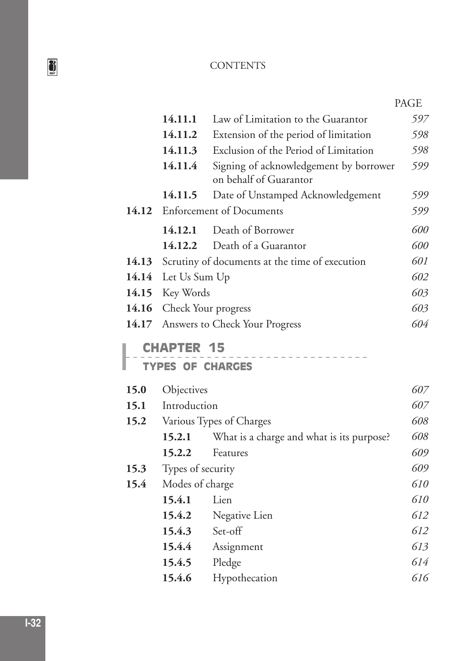|       |                   |                                                                  | <b>PAGE</b> |
|-------|-------------------|------------------------------------------------------------------|-------------|
|       | 14.11.1           | Law of Limitation to the Guarantor                               | 597         |
|       | 14.11.2           | Extension of the period of limitation                            | 598         |
|       | 14.11.3           | Exclusion of the Period of Limitation                            | 598         |
|       | 14.11.4           | Signing of acknowledgement by borrower<br>on behalf of Guarantor | 599         |
|       | 14.11.5           | Date of Unstamped Acknowledgement                                | 599         |
| 14.12 |                   | <b>Enforcement of Documents</b>                                  | 599         |
|       | 14.12.1           | Death of Borrower                                                | 600         |
|       | 14.12.2           | Death of a Guarantor                                             | 600         |
| 14.13 |                   | Scrutiny of documents at the time of execution                   | 601         |
| 14.14 | Let Us Sum Up     |                                                                  | 602         |
| 14.15 | Key Words         |                                                                  | 603         |
| 14.16 |                   | Check Your progress                                              | 603         |
| 14.17 |                   | Answers to Check Your Progress                                   | 604         |
|       | <b>CHAPTER 15</b> |                                                                  |             |
|       |                   | <b>TYPES OF CHARGES</b>                                          |             |
| 15.0  | Objectives        |                                                                  | 607         |
| 15.1  | Introduction      |                                                                  | 607         |
| 15.2  |                   | Various Types of Charges                                         | 608         |
|       | 15.2.1            | What is a charge and what is its purpose?                        | 608         |
|       | 15.2.2            | Features                                                         | 609         |
| 15.3  | Types of security |                                                                  | 609         |
| 15.4  | Modes of charge   |                                                                  | 610         |
|       | 15.4.1            | Lien                                                             | 610         |
|       | 15.4.2            | Negative Lien                                                    | 612         |
|       | 15.4.3            | Set-off                                                          | 612         |
|       | 15.4.4            | Assignment                                                       | 613         |
|       | 15.4.5            | Pledge                                                           | 614         |
|       | 15.4.6            | Hypothecation                                                    | 616         |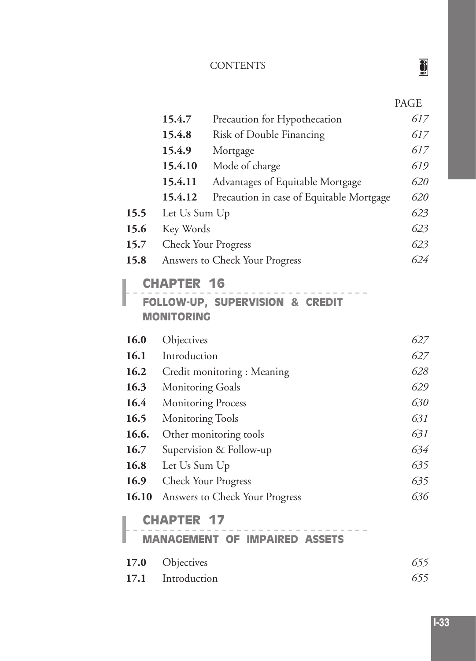|       |                                        |                                          | <b>PAGE</b> |
|-------|----------------------------------------|------------------------------------------|-------------|
|       | 15.4.7                                 | Precaution for Hypothecation             | 617         |
|       | 15.4.8                                 | Risk of Double Financing                 | 617         |
|       | 15.4.9                                 | Mortgage                                 | 617         |
|       | 15.4.10                                | Mode of charge                           | 619         |
|       | 15.4.11                                | Advantages of Equitable Mortgage         | 620         |
|       | 15.4.12                                | Precaution in case of Equitable Mortgage | 620         |
| 15.5  | Let Us Sum Up                          |                                          | 623         |
| 15.6  | Key Words                              |                                          | 623         |
| 15.7  | <b>Check Your Progress</b>             |                                          | 623         |
| 15.8  |                                        | Answers to Check Your Progress           | 624         |
|       | <b>CHAPTER 16</b><br><b>MONITORING</b> | FOLLOW-UP, SUPERVISION & CREDIT          |             |
| 16.0  | Objectives                             |                                          | 627         |
| 16.1  | Introduction                           |                                          | 627         |
| 16.2  |                                        | Credit monitoring : Meaning              | 628         |
| 16.3  | <b>Monitoring Goals</b>                |                                          | 629         |
| 16.4  | <b>Monitoring Process</b>              |                                          | 630         |
| 16.5  | <b>Monitoring Tools</b>                |                                          | 631         |
| 16.6. |                                        | Other monitoring tools                   | 631         |
| 16.7  |                                        | Supervision & Follow-up                  | 634         |
| 16.8  | Let Us Sum Up                          |                                          | 635         |
| 16.9  | <b>Check Your Progress</b>             |                                          | 635         |
| 16.10 |                                        | Answers to Check Your Progress           | 636         |
|       | <b>HAPTER</b>                          |                                          |             |
|       |                                        | <b>MANAGEMENT OF IMPAIRED ASSETS</b>     |             |
| 17.0  | Objectives                             |                                          | 655         |
| 17.1  | Introduction                           |                                          | 655         |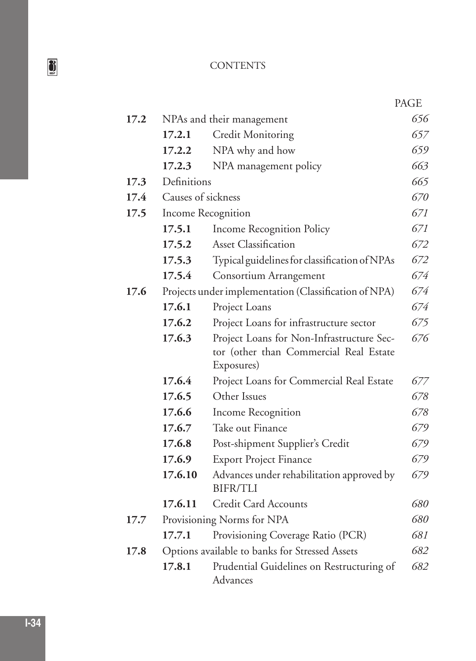|      |                    |                                                                                                   | PAGE |
|------|--------------------|---------------------------------------------------------------------------------------------------|------|
| 17.2 |                    | NPAs and their management                                                                         | 656  |
|      | 17.2.1             | <b>Credit Monitoring</b>                                                                          | 657  |
|      | 17.2.2             | NPA why and how                                                                                   | 659  |
|      | 17.2.3             | NPA management policy                                                                             | 663  |
| 17.3 | Definitions        |                                                                                                   | 665  |
| 17.4 | Causes of sickness |                                                                                                   | 670  |
| 17.5 |                    | Income Recognition                                                                                | 671  |
|      | 17.5.1             | <b>Income Recognition Policy</b>                                                                  | 671  |
|      | 17.5.2             | <b>Asset Classification</b>                                                                       | 672  |
|      | 17.5.3             | Typical guidelines for classification of NPAs                                                     | 672  |
|      | 17.5.4             | Consortium Arrangement                                                                            | 674  |
| 17.6 |                    | Projects under implementation (Classification of NPA)                                             | 674  |
|      | 17.6.1             | Project Loans                                                                                     | 674  |
|      | 17.6.2             | Project Loans for infrastructure sector                                                           | 675  |
|      | 17.6.3             | Project Loans for Non-Infrastructure Sec-<br>tor (other than Commercial Real Estate<br>Exposures) | 676  |
|      | 17.6.4             | Project Loans for Commercial Real Estate                                                          | 677  |
|      | 17.6.5             | Other Issues                                                                                      | 678  |
|      | 17.6.6             | Income Recognition                                                                                | 678  |
|      | 17.6.7             | Take out Finance                                                                                  | 679  |
|      | 17.6.8             | Post-shipment Supplier's Credit                                                                   | 679  |
|      | 17.6.9             | <b>Export Project Finance</b>                                                                     | 679  |
|      | 17.6.10            | Advances under rehabilitation approved by<br><b>BIFR/TLI</b>                                      | 679  |
|      | 17.6.11            | Credit Card Accounts                                                                              | 680  |
| 17.7 |                    | Provisioning Norms for NPA                                                                        | 680  |
|      | 17.7.1             | Provisioning Coverage Ratio (PCR)                                                                 | 681  |
| 17.8 |                    | Options available to banks for Stressed Assets                                                    | 682  |
|      | 17.8.1             | Prudential Guidelines on Restructuring of<br>Advances                                             | 682  |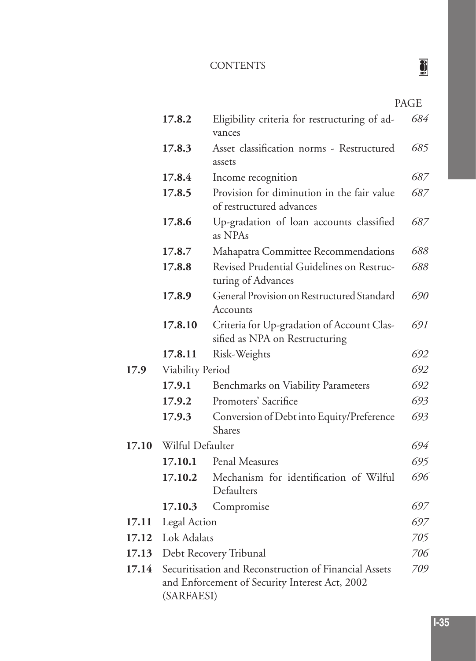# $\sum_{\text{IBF}}$

|       | 17.8.2                  | Eligibility criteria for restructuring of ad-<br>vances                                                 | 684 |
|-------|-------------------------|---------------------------------------------------------------------------------------------------------|-----|
|       | 17.8.3                  | Asset classification norms - Restructured<br>assets                                                     | 685 |
|       | 17.8.4                  | Income recognition                                                                                      | 687 |
|       | 17.8.5                  | Provision for diminution in the fair value<br>of restructured advances                                  | 687 |
|       | 17.8.6                  | Up-gradation of loan accounts classified<br>as NPAs                                                     | 687 |
|       | 17.8.7                  | Mahapatra Committee Recommendations                                                                     | 688 |
|       | 17.8.8                  | Revised Prudential Guidelines on Restruc-<br>turing of Advances                                         | 688 |
|       | 17.8.9                  | General Provision on Restructured Standard<br>Accounts                                                  | 690 |
|       | 17.8.10                 | Criteria for Up-gradation of Account Clas-<br>sified as NPA on Restructuring                            | 691 |
|       | 17.8.11                 | Risk-Weights                                                                                            | 692 |
| 17.9  | <b>Viability Period</b> |                                                                                                         | 692 |
|       | 17.9.1                  | <b>Benchmarks on Viability Parameters</b>                                                               | 692 |
|       | 17.9.2                  | Promoters' Sacrifice                                                                                    | 693 |
|       | 17.9.3                  | Conversion of Debt into Equity/Preference<br>Shares                                                     | 693 |
| 17.10 | Wilful Defaulter        |                                                                                                         | 694 |
|       | 17.10.1                 | Penal Measures                                                                                          | 695 |
|       | 17.10.2                 | Mechanism for identification of Wilful<br>Defaulters                                                    | 696 |
|       | 17.10.3                 | Compromise                                                                                              | 697 |
| 17.11 | Legal Action            |                                                                                                         | 697 |
| 17.12 | Lok Adalats             |                                                                                                         | 705 |
| 17.13 | Debt Recovery Tribunal  |                                                                                                         | 706 |
| 17.14 | (SARFAESI)              | Securitisation and Reconstruction of Financial Assets<br>and Enforcement of Security Interest Act, 2002 | 709 |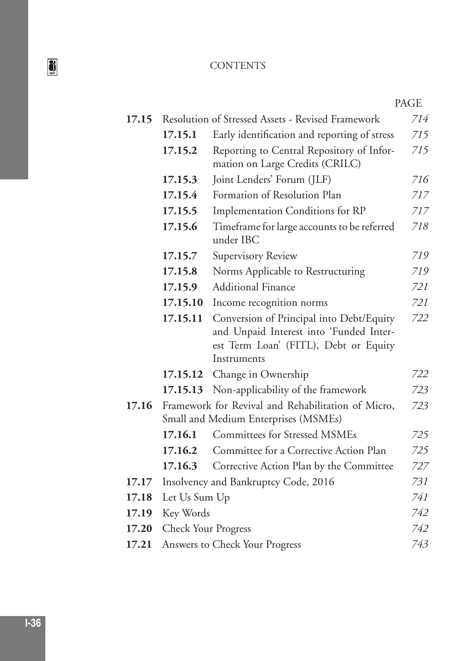|       |                            |                                                                                                                                             | PAGE |
|-------|----------------------------|---------------------------------------------------------------------------------------------------------------------------------------------|------|
| 17.15 |                            | Resolution of Stressed Assets - Revised Framework                                                                                           | 714  |
|       | 17.15.1                    | Early identification and reporting of stress                                                                                                | 715  |
|       | 17.15.2                    | Reporting to Central Repository of Infor-<br>mation on Large Credits (CRILC)                                                                | 715  |
|       | 17.15.3                    | Joint Lenders' Forum (JLF)                                                                                                                  | 716  |
|       | 17.15.4                    | Formation of Resolution Plan                                                                                                                | 717  |
|       | 17.15.5                    | Implementation Conditions for RP                                                                                                            | 717  |
|       | 17.15.6                    | Timeframe for large accounts to be referred<br>under IBC                                                                                    | 718  |
|       | 17.15.7                    | Supervisory Review                                                                                                                          | 719  |
|       | 17.15.8                    | Norms Applicable to Restructuring                                                                                                           | 719  |
|       | 17.15.9                    | <b>Additional Finance</b>                                                                                                                   | 721  |
|       | 17.15.10                   | Income recognition norms                                                                                                                    | 721  |
|       | 17.15.11                   | Conversion of Principal into Debt/Equity<br>and Unpaid Interest into 'Funded Inter-<br>est Term Loan' (FITL), Debt or Equity<br>Instruments | 722  |
|       | 17.15.12                   | Change in Ownership                                                                                                                         | 722  |
|       | 17.15.13                   | Non-applicability of the framework                                                                                                          | 723  |
| 17.16 |                            | Framework for Revival and Rehabilitation of Micro,<br>Small and Medium Enterprises (MSMEs)                                                  | 723  |
|       | 17.16.1                    | <b>Committees for Stressed MSMEs</b>                                                                                                        | 725  |
|       | 17.16.2                    | Committee for a Corrective Action Plan                                                                                                      | 725  |
|       | 17.16.3                    | Corrective Action Plan by the Committee                                                                                                     | 727  |
| 17.17 |                            | Insolvency and Bankruptcy Code, 2016                                                                                                        | 731  |
| 17.18 | Let Us Sum Up              |                                                                                                                                             | 741  |
| 17.19 | Key Words                  |                                                                                                                                             | 742  |
| 17.20 | <b>Check Your Progress</b> |                                                                                                                                             | 742  |
| 17.21 |                            | Answers to Check Your Progress                                                                                                              | 743  |